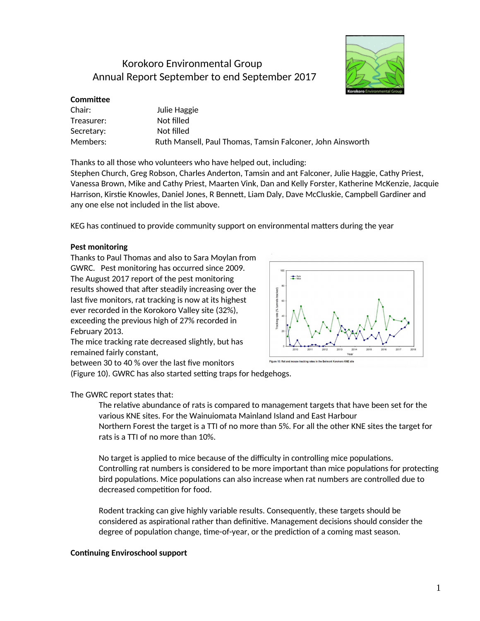# Korokoro Environmental Group Annual Report September to end September 2017



# **Committee**

| Chair:     | Julie Haggie                                               |
|------------|------------------------------------------------------------|
| Treasurer: | Not filled                                                 |
| Secretary: | Not filled                                                 |
| Members:   | Ruth Mansell, Paul Thomas, Tamsin Falconer, John Ainsworth |

Thanks to all those who volunteers who have helped out, including:

Stephen Church, Greg Robson, Charles Anderton, Tamsin and ant Falconer, Julie Haggie, Cathy Priest, Vanessa Brown, Mike and Cathy Priest, Maarten Vink, Dan and Kelly Forster, Katherine McKenzie, Jacquie Harrison, Kirstie Knowles, Daniel Jones, R Bennett, Liam Daly, Dave McCluskie, Campbell Gardiner and any one else not included in the list above.

KEG has continued to provide community support on environmental matters during the year

# **Pest monitoring**

Thanks to Paul Thomas and also to Sara Moylan from GWRC. Pest monitoring has occurred since 2009. The August 2017 report of the pest monitoring results showed that after steadily increasing over the last five monitors, rat tracking is now at its highest ever recorded in the Korokoro Valley site (32%), exceeding the previous high of 27% recorded in February 2013.

The mice tracking rate decreased slightly, but has remained fairly constant,



between 30 to 40 % over the last five monitors

(Figure 10). GWRC has also started setting traps for hedgehogs.

# The GWRC report states that:

The relatve abundance of rats is compared to management targets that have been set for the various KNE sites. For the Wainuiomata Mainland Island and East Harbour Northern Forest the target is a TTI of no more than 5%. For all the other KNE sites the target for rats is a TTI of no more than 10%.

No target is applied to mice because of the difficulty in controlling mice populations. Controlling rat numbers is considered to be more important than mice populations for protecting bird populations. Mice populations can also increase when rat numbers are controlled due to decreased competition for food.

Rodent tracking can give highly variable results. Consequently, these targets should be considered as aspirational rather than definitive. Management decisions should consider the degree of population change, time-of-year, or the prediction of a coming mast season.

# **Continuing Enviroschool support**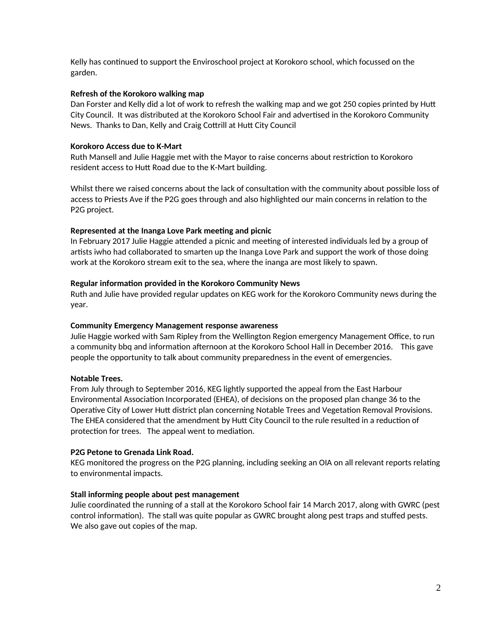Kelly has continued to support the Enviroschool project at Korokoro school, which focussed on the garden.

## **Refresh of the Korokoro walking map**

Dan Forster and Kelly did a lot of work to refresh the walking map and we got 250 copies printed by Hut City Council. It was distributed at the Korokoro School Fair and advertsed in the Korokoro Community News. Thanks to Dan, Kelly and Craig Cottrill at Hutt City Council

## **Korokoro Access due to K-Mart**

Ruth Mansell and Julie Haggie met with the Mayor to raise concerns about restricton to Korokoro resident access to Hutt Road due to the K-Mart building.

Whilst there we raised concerns about the lack of consultation with the community about possible loss of access to Priests Ave if the P2G goes through and also highlighted our main concerns in relation to the P2G project.

## **Represented at the Inanga Love Park meeting and picnic**

In February 2017 Julie Haggie attended a picnic and meeting of interested individuals led by a group of artists iwho had collaborated to smarten up the Inanga Love Park and support the work of those doing work at the Korokoro stream exit to the sea, where the inanga are most likely to spawn.

### **Regular information provided in the Korokoro Community News**

Ruth and Julie have provided regular updates on KEG work for the Korokoro Community news during the year.

### **Community Emergency Management response awareness**

Julie Haggie worked with Sam Ripley from the Wellington Region emergency Management Office, to run a community bbq and information afternoon at the Korokoro School Hall in December 2016. This gave people the opportunity to talk about community preparedness in the event of emergencies.

# **Notable Trees.**

From July through to September 2016, KEG lightly supported the appeal from the East Harbour Environmental Associaton Incorporated (EHEA), of decisions on the proposed plan change 36 to the Operative City of Lower Hutt district plan concerning Notable Trees and Vegetation Removal Provisions. The EHEA considered that the amendment by Hutt City Council to the rule resulted in a reduction of protection for trees. The appeal went to mediation.

# **P2G Petone to Grenada Link Road.**

KEG monitored the progress on the P2G planning, including seeking an OIA on all relevant reports relating to environmental impacts.

### **Stall informing people about pest management**

Julie coordinated the running of a stall at the Korokoro School fair 14 March 2017, along with GWRC (pest control information). The stall was quite popular as GWRC brought along pest traps and stuffed pests. We also gave out copies of the map.